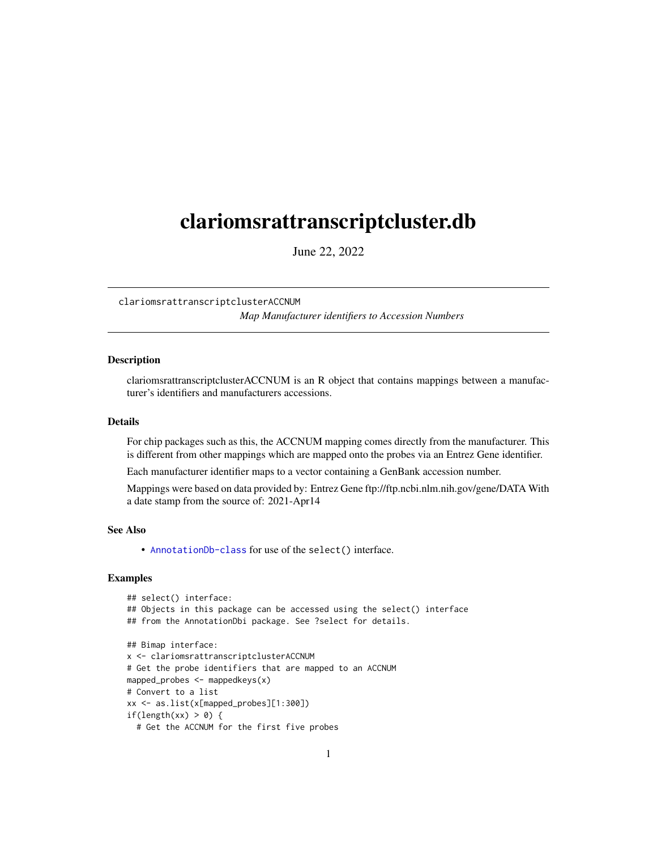# <span id="page-0-1"></span><span id="page-0-0"></span>clariomsrattranscriptcluster.db

June 22, 2022

clariomsrattranscriptclusterACCNUM *Map Manufacturer identifiers to Accession Numbers*

# **Description**

clariomsrattranscriptclusterACCNUM is an R object that contains mappings between a manufacturer's identifiers and manufacturers accessions.

#### Details

For chip packages such as this, the ACCNUM mapping comes directly from the manufacturer. This is different from other mappings which are mapped onto the probes via an Entrez Gene identifier.

Each manufacturer identifier maps to a vector containing a GenBank accession number.

Mappings were based on data provided by: Entrez Gene ftp://ftp.ncbi.nlm.nih.gov/gene/DATA With a date stamp from the source of: 2021-Apr14

# See Also

• AnnotationDb-class for use of the select() interface.

```
## select() interface:
## Objects in this package can be accessed using the select() interface
## from the AnnotationDbi package. See ?select for details.
## Bimap interface:
x <- clariomsrattranscriptclusterACCNUM
# Get the probe identifiers that are mapped to an ACCNUM
mapped_probes <- mappedkeys(x)
# Convert to a list
xx <- as.list(x[mapped_probes][1:300])
if(length(xx) > 0) {
 # Get the ACCNUM for the first five probes
```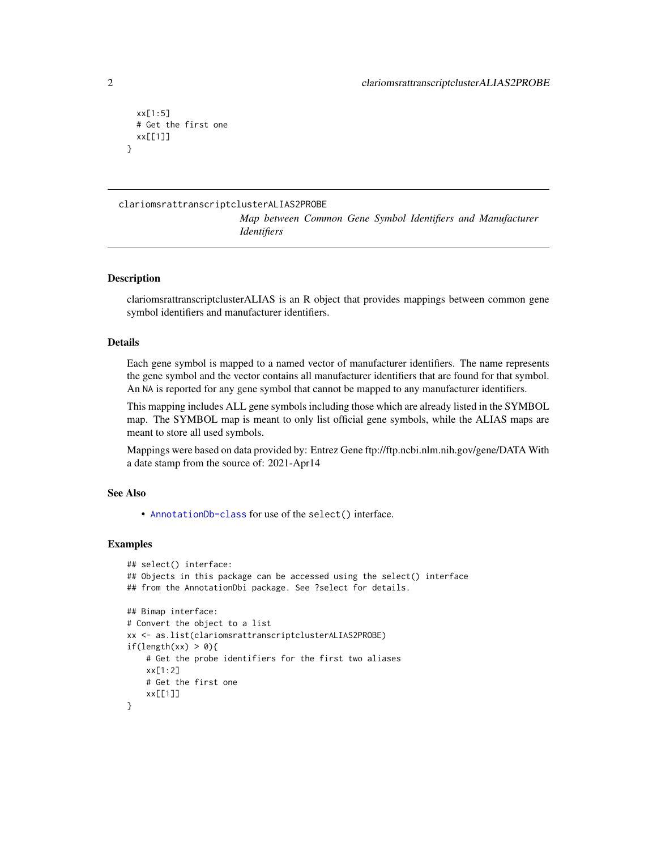```
xx[1:5]
 # Get the first one
 xx[[1]]
}
```
#### clariomsrattranscriptclusterALIAS2PROBE

*Map between Common Gene Symbol Identifiers and Manufacturer Identifiers*

# **Description**

clariomsrattranscriptclusterALIAS is an R object that provides mappings between common gene symbol identifiers and manufacturer identifiers.

#### Details

Each gene symbol is mapped to a named vector of manufacturer identifiers. The name represents the gene symbol and the vector contains all manufacturer identifiers that are found for that symbol. An NA is reported for any gene symbol that cannot be mapped to any manufacturer identifiers.

This mapping includes ALL gene symbols including those which are already listed in the SYMBOL map. The SYMBOL map is meant to only list official gene symbols, while the ALIAS maps are meant to store all used symbols.

Mappings were based on data provided by: Entrez Gene ftp://ftp.ncbi.nlm.nih.gov/gene/DATA With a date stamp from the source of: 2021-Apr14

# See Also

• [AnnotationDb-class](#page-0-0) for use of the select() interface.

```
## select() interface:
## Objects in this package can be accessed using the select() interface
## from the AnnotationDbi package. See ?select for details.
## Bimap interface:
# Convert the object to a list
xx <- as.list(clariomsrattranscriptclusterALIAS2PROBE)
if(length(xx) > 0){
   # Get the probe identifiers for the first two aliases
   xx[1:2]
   # Get the first one
    xx[[1]]
}
```
<span id="page-1-0"></span>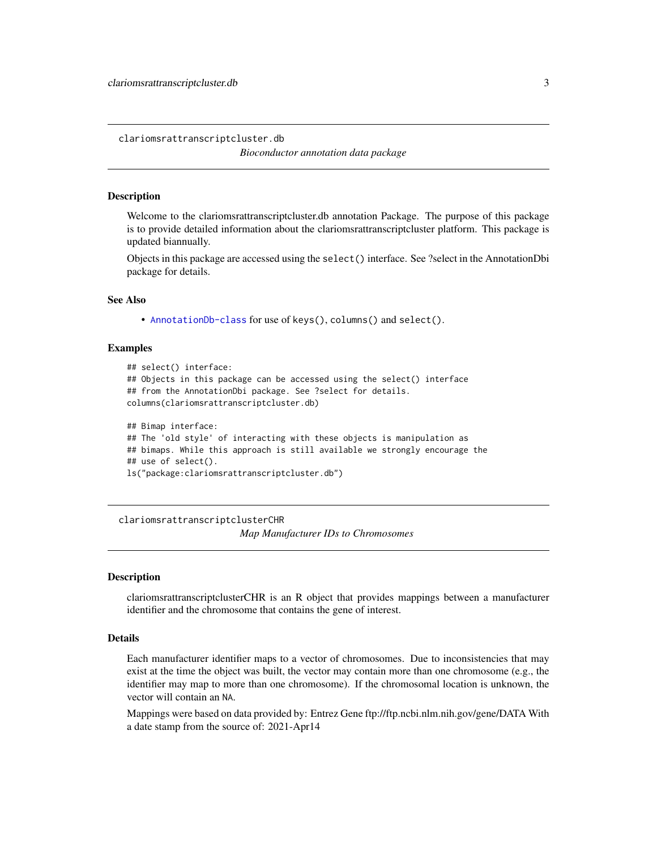<span id="page-2-0"></span>clariomsrattranscriptcluster.db

*Bioconductor annotation data package*

#### **Description**

Welcome to the clariomsrattranscriptcluster.db annotation Package. The purpose of this package is to provide detailed information about the clariomsrattranscriptcluster platform. This package is updated biannually.

Objects in this package are accessed using the select() interface. See ?select in the AnnotationDbi package for details.

#### See Also

• [AnnotationDb-class](#page-0-0) for use of keys(), columns() and select().

#### Examples

```
## select() interface:
## Objects in this package can be accessed using the select() interface
## from the AnnotationDbi package. See ?select for details.
columns(clariomsrattranscriptcluster.db)
## Bimap interface:
## The 'old style' of interacting with these objects is manipulation as
## bimaps. While this approach is still available we strongly encourage the
```
## use of select().

ls("package:clariomsrattranscriptcluster.db")

clariomsrattranscriptclusterCHR

*Map Manufacturer IDs to Chromosomes*

#### Description

clariomsrattranscriptclusterCHR is an R object that provides mappings between a manufacturer identifier and the chromosome that contains the gene of interest.

# Details

Each manufacturer identifier maps to a vector of chromosomes. Due to inconsistencies that may exist at the time the object was built, the vector may contain more than one chromosome (e.g., the identifier may map to more than one chromosome). If the chromosomal location is unknown, the vector will contain an NA.

Mappings were based on data provided by: Entrez Gene ftp://ftp.ncbi.nlm.nih.gov/gene/DATA With a date stamp from the source of: 2021-Apr14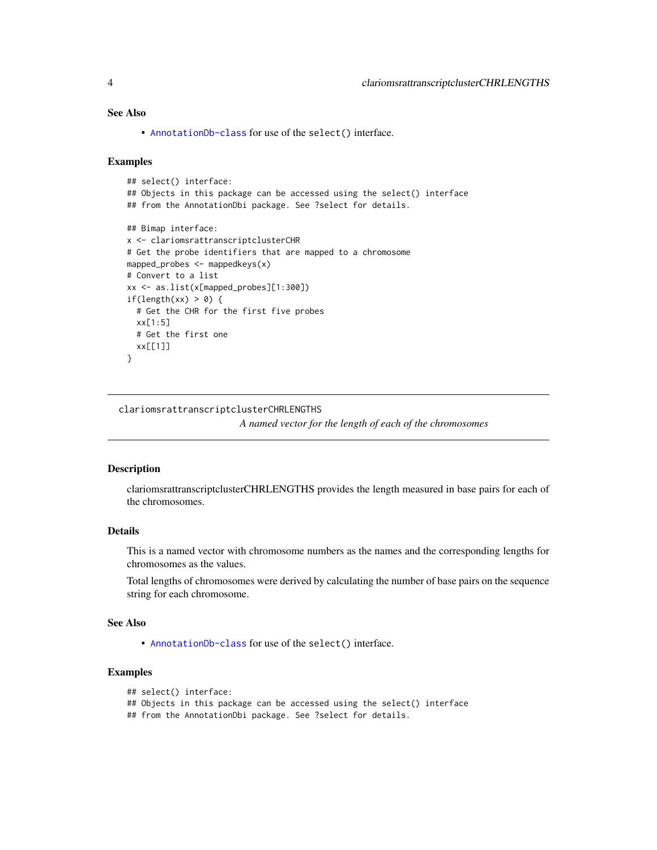# <span id="page-3-0"></span>See Also

• [AnnotationDb-class](#page-0-0) for use of the select() interface.

#### Examples

```
## select() interface:
## Objects in this package can be accessed using the select() interface
## from the AnnotationDbi package. See ?select for details.
## Bimap interface:
x <- clariomsrattranscriptclusterCHR
# Get the probe identifiers that are mapped to a chromosome
mapped_probes <- mappedkeys(x)
# Convert to a list
xx <- as.list(x[mapped_probes][1:300])
if(length(xx) > 0) {
  # Get the CHR for the first five probes
  xx[1:5]
  # Get the first one
  xx[[1]]
}
```
clariomsrattranscriptclusterCHRLENGTHS

*A named vector for the length of each of the chromosomes*

#### Description

clariomsrattranscriptclusterCHRLENGTHS provides the length measured in base pairs for each of the chromosomes.

# Details

This is a named vector with chromosome numbers as the names and the corresponding lengths for chromosomes as the values.

Total lengths of chromosomes were derived by calculating the number of base pairs on the sequence string for each chromosome.

#### See Also

• [AnnotationDb-class](#page-0-0) for use of the select() interface.

# Examples

```
## select() interface:
```

```
## Objects in this package can be accessed using the select() interface
```
## from the AnnotationDbi package. See ?select for details.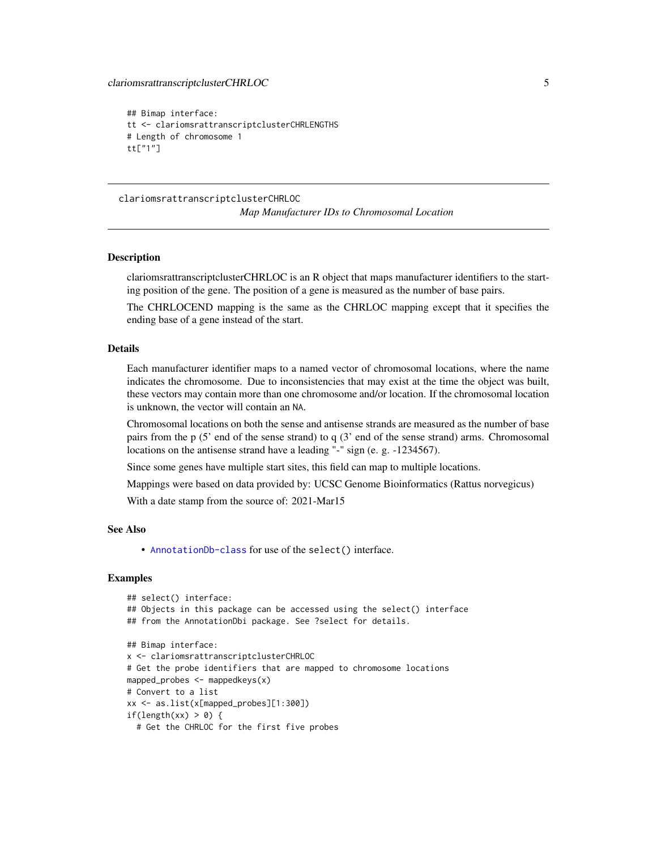```
## Bimap interface:
tt <- clariomsrattranscriptclusterCHRLENGTHS
# Length of chromosome 1
tt["1"]
```
clariomsrattranscriptclusterCHRLOC *Map Manufacturer IDs to Chromosomal Location*

#### Description

clariomsrattranscriptclusterCHRLOC is an R object that maps manufacturer identifiers to the starting position of the gene. The position of a gene is measured as the number of base pairs.

The CHRLOCEND mapping is the same as the CHRLOC mapping except that it specifies the ending base of a gene instead of the start.

# Details

Each manufacturer identifier maps to a named vector of chromosomal locations, where the name indicates the chromosome. Due to inconsistencies that may exist at the time the object was built, these vectors may contain more than one chromosome and/or location. If the chromosomal location is unknown, the vector will contain an NA.

Chromosomal locations on both the sense and antisense strands are measured as the number of base pairs from the p (5' end of the sense strand) to q (3' end of the sense strand) arms. Chromosomal locations on the antisense strand have a leading "-" sign (e. g. -1234567).

Since some genes have multiple start sites, this field can map to multiple locations.

Mappings were based on data provided by: UCSC Genome Bioinformatics (Rattus norvegicus)

With a date stamp from the source of: 2021-Mar15

#### See Also

• [AnnotationDb-class](#page-0-0) for use of the select() interface.

```
## select() interface:
## Objects in this package can be accessed using the select() interface
## from the AnnotationDbi package. See ?select for details.
## Bimap interface:
x <- clariomsrattranscriptclusterCHRLOC
# Get the probe identifiers that are mapped to chromosome locations
mapped_probes <- mappedkeys(x)
# Convert to a list
xx <- as.list(x[mapped_probes][1:300])
if(length(xx) > 0) {
 # Get the CHRLOC for the first five probes
```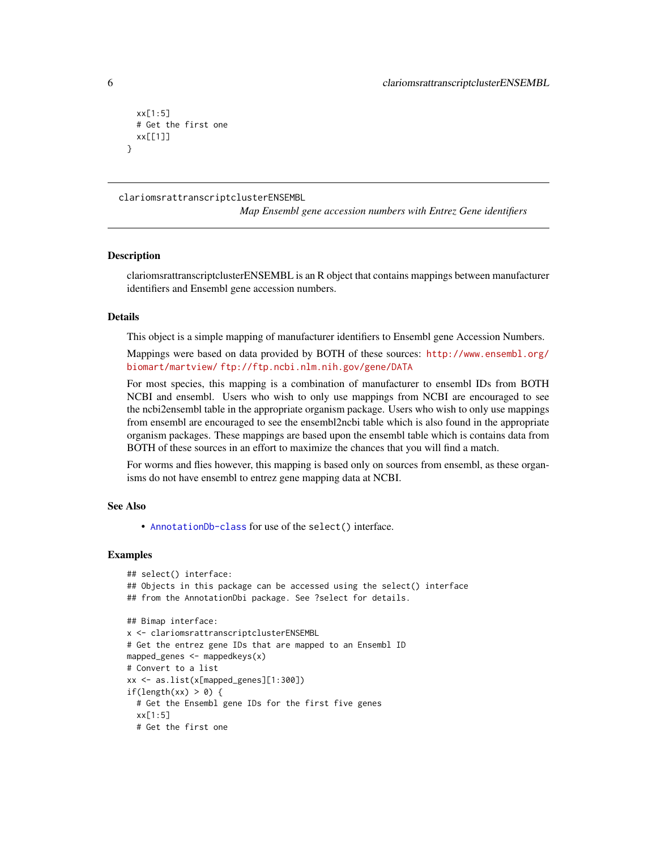```
xx[1:5]
 # Get the first one
 xx[[1]]
}
```
clariomsrattranscriptclusterENSEMBL

*Map Ensembl gene accession numbers with Entrez Gene identifiers*

#### **Description**

clariomsrattranscriptclusterENSEMBL is an R object that contains mappings between manufacturer identifiers and Ensembl gene accession numbers.

#### Details

This object is a simple mapping of manufacturer identifiers to Ensembl gene Accession Numbers.

Mappings were based on data provided by BOTH of these sources: [http://www.ensembl.org/](http://www.ensembl.org/biomart/martview/) [biomart/martview/](http://www.ensembl.org/biomart/martview/) <ftp://ftp.ncbi.nlm.nih.gov/gene/DATA>

For most species, this mapping is a combination of manufacturer to ensembl IDs from BOTH NCBI and ensembl. Users who wish to only use mappings from NCBI are encouraged to see the ncbi2ensembl table in the appropriate organism package. Users who wish to only use mappings from ensembl are encouraged to see the ensembl2ncbi table which is also found in the appropriate organism packages. These mappings are based upon the ensembl table which is contains data from BOTH of these sources in an effort to maximize the chances that you will find a match.

For worms and flies however, this mapping is based only on sources from ensembl, as these organisms do not have ensembl to entrez gene mapping data at NCBI.

#### See Also

• [AnnotationDb-class](#page-0-0) for use of the select() interface.

```
## select() interface:
## Objects in this package can be accessed using the select() interface
## from the AnnotationDbi package. See ?select for details.
## Bimap interface:
x <- clariomsrattranscriptclusterENSEMBL
# Get the entrez gene IDs that are mapped to an Ensembl ID
mapped_genes <- mappedkeys(x)
# Convert to a list
xx <- as.list(x[mapped_genes][1:300])
if(length(xx) > 0) {
 # Get the Ensembl gene IDs for the first five genes
 xx[1:5]
 # Get the first one
```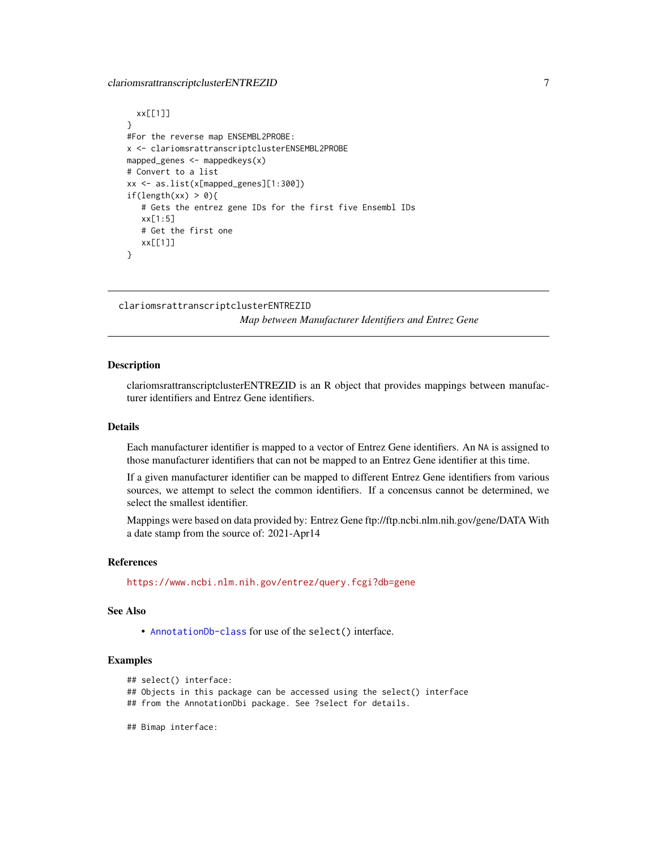# <span id="page-6-0"></span>clariomsrattranscriptclusterENTREZID 7

```
xx[[1]]
}
#For the reverse map ENSEMBL2PROBE:
x <- clariomsrattranscriptclusterENSEMBL2PROBE
mapped_genes <- mappedkeys(x)
# Convert to a list
xx <- as.list(x[mapped_genes][1:300])
if(length(xx) > 0){
   # Gets the entrez gene IDs for the first five Ensembl IDs
   xx[1:5]
   # Get the first one
   xx[[1]]
}
```

```
clariomsrattranscriptclusterENTREZID
```
*Map between Manufacturer Identifiers and Entrez Gene*

#### Description

clariomsrattranscriptclusterENTREZID is an R object that provides mappings between manufacturer identifiers and Entrez Gene identifiers.

# Details

Each manufacturer identifier is mapped to a vector of Entrez Gene identifiers. An NA is assigned to those manufacturer identifiers that can not be mapped to an Entrez Gene identifier at this time.

If a given manufacturer identifier can be mapped to different Entrez Gene identifiers from various sources, we attempt to select the common identifiers. If a concensus cannot be determined, we select the smallest identifier.

Mappings were based on data provided by: Entrez Gene ftp://ftp.ncbi.nlm.nih.gov/gene/DATA With a date stamp from the source of: 2021-Apr14

#### References

<https://www.ncbi.nlm.nih.gov/entrez/query.fcgi?db=gene>

#### See Also

• [AnnotationDb-class](#page-0-0) for use of the select() interface.

# Examples

```
## select() interface:
```
## Objects in this package can be accessed using the select() interface

- ## from the AnnotationDbi package. See ?select for details.
- ## Bimap interface: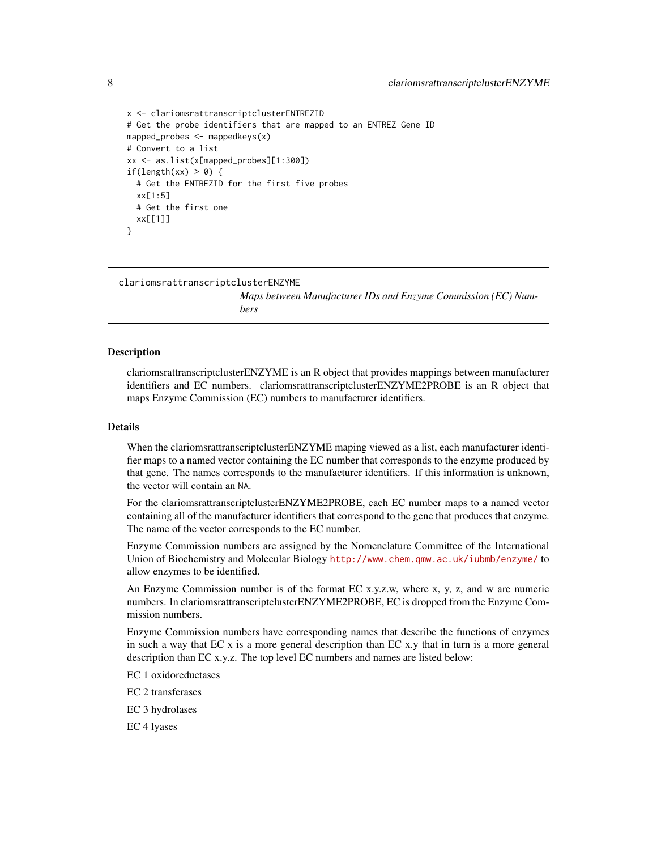```
x <- clariomsrattranscriptclusterENTREZID
# Get the probe identifiers that are mapped to an ENTREZ Gene ID
mapped_probes <- mappedkeys(x)
# Convert to a list
xx <- as.list(x[mapped_probes][1:300])
if(length(xx) > 0) {
 # Get the ENTREZID for the first five probes
 xx[1:5]
 # Get the first one
 xx[[1]]
}
```
clariomsrattranscriptclusterENZYME

*Maps between Manufacturer IDs and Enzyme Commission (EC) Numbers*

#### Description

clariomsrattranscriptclusterENZYME is an R object that provides mappings between manufacturer identifiers and EC numbers. clariomsrattranscriptclusterENZYME2PROBE is an R object that maps Enzyme Commission (EC) numbers to manufacturer identifiers.

#### Details

When the clariomsrattranscriptclusterENZYME maping viewed as a list, each manufacturer identifier maps to a named vector containing the EC number that corresponds to the enzyme produced by that gene. The names corresponds to the manufacturer identifiers. If this information is unknown, the vector will contain an NA.

For the clariomsrattranscriptclusterENZYME2PROBE, each EC number maps to a named vector containing all of the manufacturer identifiers that correspond to the gene that produces that enzyme. The name of the vector corresponds to the EC number.

Enzyme Commission numbers are assigned by the Nomenclature Committee of the International Union of Biochemistry and Molecular Biology <http://www.chem.qmw.ac.uk/iubmb/enzyme/> to allow enzymes to be identified.

An Enzyme Commission number is of the format EC x.y.z.w, where x, y, z, and w are numeric numbers. In clariomsrattranscriptclusterENZYME2PROBE, EC is dropped from the Enzyme Commission numbers.

Enzyme Commission numbers have corresponding names that describe the functions of enzymes in such a way that  $ECx$  is a more general description than  $ECx$ , that in turn is a more general description than EC x.y.z. The top level EC numbers and names are listed below:

EC 1 oxidoreductases

EC 2 transferases

EC 3 hydrolases

EC 4 lyases

<span id="page-7-0"></span>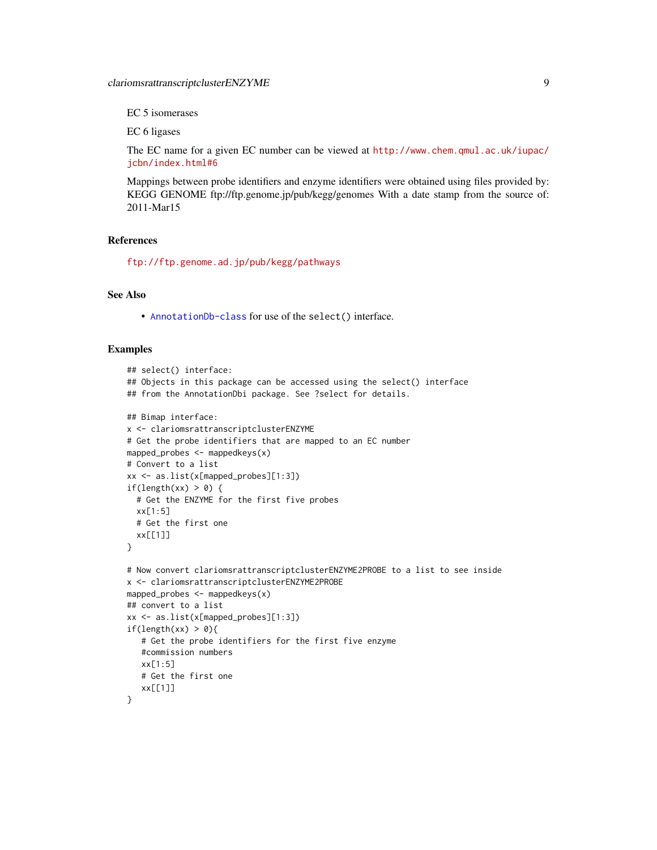EC 5 isomerases

EC 6 ligases

The EC name for a given EC number can be viewed at [http://www.chem.qmul.ac.uk/iupac/](http://www.chem.qmul.ac.uk/iupac/jcbn/index.html#6) [jcbn/index.html#6](http://www.chem.qmul.ac.uk/iupac/jcbn/index.html#6)

Mappings between probe identifiers and enzyme identifiers were obtained using files provided by: KEGG GENOME ftp://ftp.genome.jp/pub/kegg/genomes With a date stamp from the source of: 2011-Mar15

### References

<ftp://ftp.genome.ad.jp/pub/kegg/pathways>

# See Also

• [AnnotationDb-class](#page-0-0) for use of the select() interface.

```
## select() interface:
## Objects in this package can be accessed using the select() interface
## from the AnnotationDbi package. See ?select for details.
## Bimap interface:
x <- clariomsrattranscriptclusterENZYME
# Get the probe identifiers that are mapped to an EC number
mapped_probes <- mappedkeys(x)
# Convert to a list
xx <- as.list(x[mapped_probes][1:3])
if(length(xx) > 0) {
  # Get the ENZYME for the first five probes
  xx[1:5]
  # Get the first one
  xx[[1]]
}
# Now convert clariomsrattranscriptclusterENZYME2PROBE to a list to see inside
x <- clariomsrattranscriptclusterENZYME2PROBE
mapped_probes <- mappedkeys(x)
## convert to a list
xx <- as.list(x[mapped_probes][1:3])
if(length(xx) > 0){
   # Get the probe identifiers for the first five enzyme
   #commission numbers
   xx[1:5]
   # Get the first one
   xx[[1]]
}
```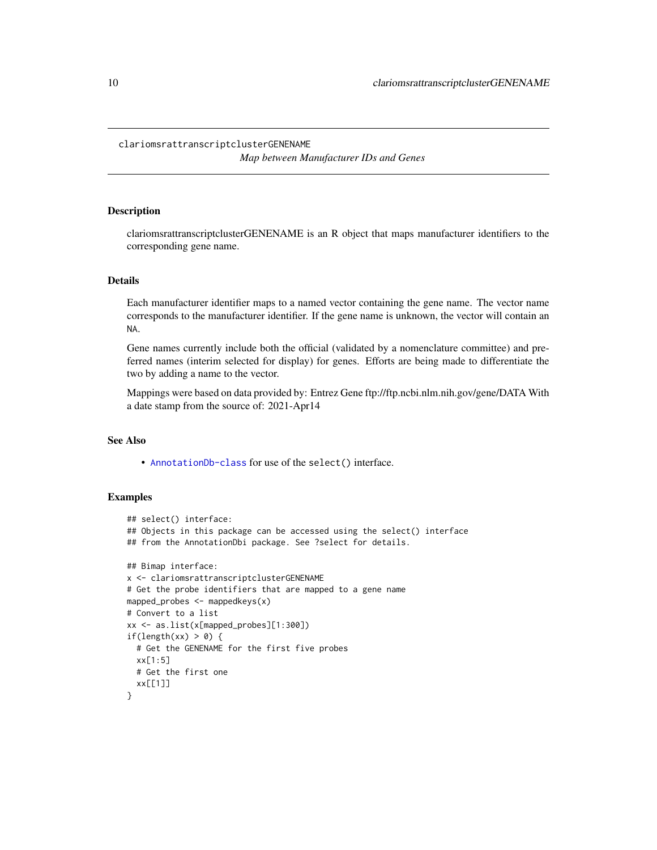#### <span id="page-9-0"></span>clariomsrattranscriptclusterGENENAME

*Map between Manufacturer IDs and Genes*

# Description

clariomsrattranscriptclusterGENENAME is an R object that maps manufacturer identifiers to the corresponding gene name.

#### Details

Each manufacturer identifier maps to a named vector containing the gene name. The vector name corresponds to the manufacturer identifier. If the gene name is unknown, the vector will contain an NA.

Gene names currently include both the official (validated by a nomenclature committee) and preferred names (interim selected for display) for genes. Efforts are being made to differentiate the two by adding a name to the vector.

Mappings were based on data provided by: Entrez Gene ftp://ftp.ncbi.nlm.nih.gov/gene/DATA With a date stamp from the source of: 2021-Apr14

# See Also

• [AnnotationDb-class](#page-0-0) for use of the select() interface.

```
## select() interface:
## Objects in this package can be accessed using the select() interface
## from the AnnotationDbi package. See ?select for details.
## Bimap interface:
x <- clariomsrattranscriptclusterGENENAME
# Get the probe identifiers that are mapped to a gene name
mapped_probes <- mappedkeys(x)
# Convert to a list
xx <- as.list(x[mapped_probes][1:300])
if(length(xx) > 0) {
  # Get the GENENAME for the first five probes
  xx[1:5]
  # Get the first one
  xx[[1]]
}
```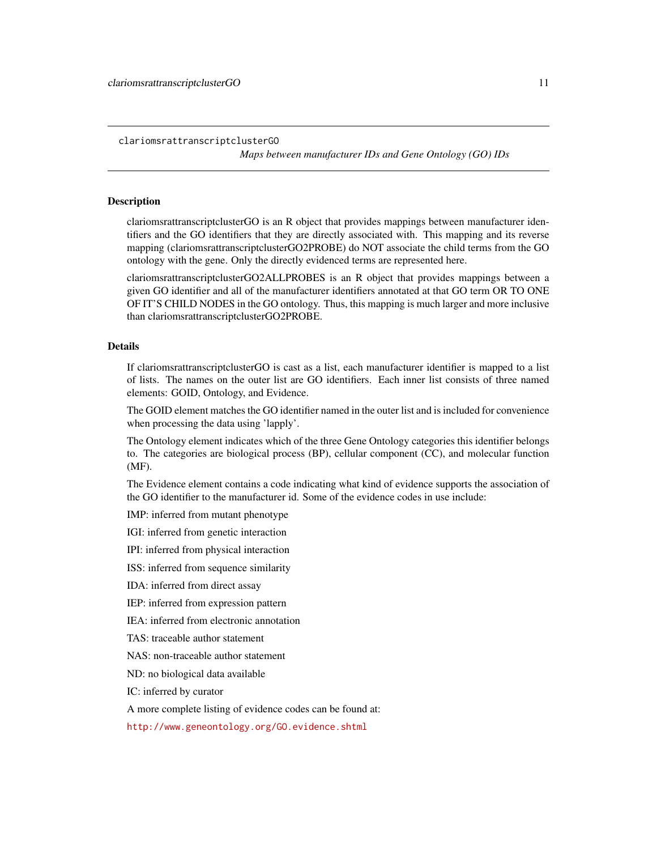<span id="page-10-1"></span>clariomsrattranscriptclusterGO

*Maps between manufacturer IDs and Gene Ontology (GO) IDs*

#### <span id="page-10-0"></span>Description

clariomsrattranscriptclusterGO is an R object that provides mappings between manufacturer identifiers and the GO identifiers that they are directly associated with. This mapping and its reverse mapping (clariomsrattranscriptclusterGO2PROBE) do NOT associate the child terms from the GO ontology with the gene. Only the directly evidenced terms are represented here.

clariomsrattranscriptclusterGO2ALLPROBES is an R object that provides mappings between a given GO identifier and all of the manufacturer identifiers annotated at that GO term OR TO ONE OF IT'S CHILD NODES in the GO ontology. Thus, this mapping is much larger and more inclusive than clariomsrattranscriptclusterGO2PROBE.

#### Details

If clariomsrattranscriptclusterGO is cast as a list, each manufacturer identifier is mapped to a list of lists. The names on the outer list are GO identifiers. Each inner list consists of three named elements: GOID, Ontology, and Evidence.

The GOID element matches the GO identifier named in the outer list and is included for convenience when processing the data using 'lapply'.

The Ontology element indicates which of the three Gene Ontology categories this identifier belongs to. The categories are biological process (BP), cellular component (CC), and molecular function (MF).

The Evidence element contains a code indicating what kind of evidence supports the association of the GO identifier to the manufacturer id. Some of the evidence codes in use include:

IMP: inferred from mutant phenotype

IGI: inferred from genetic interaction

IPI: inferred from physical interaction

ISS: inferred from sequence similarity

IDA: inferred from direct assay

IEP: inferred from expression pattern

IEA: inferred from electronic annotation

TAS: traceable author statement

NAS: non-traceable author statement

ND: no biological data available

IC: inferred by curator

A more complete listing of evidence codes can be found at:

<http://www.geneontology.org/GO.evidence.shtml>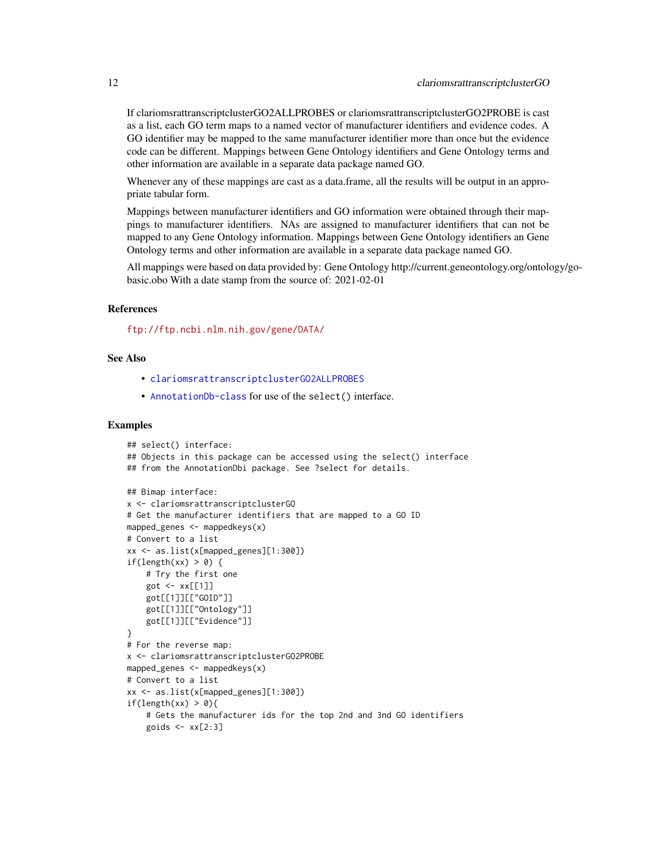<span id="page-11-0"></span>If clariomsrattranscriptclusterGO2ALLPROBES or clariomsrattranscriptclusterGO2PROBE is cast as a list, each GO term maps to a named vector of manufacturer identifiers and evidence codes. A GO identifier may be mapped to the same manufacturer identifier more than once but the evidence code can be different. Mappings between Gene Ontology identifiers and Gene Ontology terms and other information are available in a separate data package named GO.

Whenever any of these mappings are cast as a data.frame, all the results will be output in an appropriate tabular form.

Mappings between manufacturer identifiers and GO information were obtained through their mappings to manufacturer identifiers. NAs are assigned to manufacturer identifiers that can not be mapped to any Gene Ontology information. Mappings between Gene Ontology identifiers an Gene Ontology terms and other information are available in a separate data package named GO.

All mappings were based on data provided by: Gene Ontology http://current.geneontology.org/ontology/gobasic.obo With a date stamp from the source of: 2021-02-01

# References

<ftp://ftp.ncbi.nlm.nih.gov/gene/DATA/>

#### See Also

- [clariomsrattranscriptclusterGO2ALLPROBES](#page-10-0)
- [AnnotationDb-class](#page-0-0) for use of the select() interface.

```
## select() interface:
## Objects in this package can be accessed using the select() interface
## from the AnnotationDbi package. See ?select for details.
## Bimap interface:
x <- clariomsrattranscriptclusterGO
# Get the manufacturer identifiers that are mapped to a GO ID
mapped_genes <- mappedkeys(x)
# Convert to a list
xx <- as.list(x[mapped_genes][1:300])
if(length(xx) > 0) {
    # Try the first one
    got \leftarrow xx[[1]]got[[1]][["GOID"]]
    got[[1]][["Ontology"]]
    got[[1]][["Evidence"]]
}
# For the reverse map:
x <- clariomsrattranscriptclusterGO2PROBE
mapped_genes <- mappedkeys(x)
# Convert to a list
xx <- as.list(x[mapped_genes][1:300])
if(length(xx) > 0){
    # Gets the manufacturer ids for the top 2nd and 3nd GO identifiers
    goids \leq -x \times [2:3]
```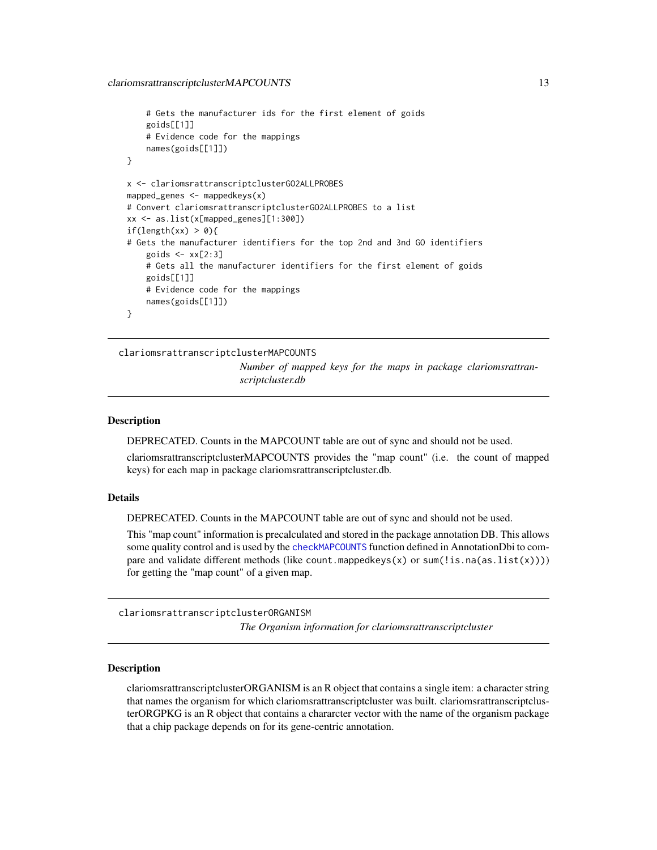```
# Gets the manufacturer ids for the first element of goids
    goids[[1]]
    # Evidence code for the mappings
   names(goids[[1]])
}
x <- clariomsrattranscriptclusterGO2ALLPROBES
mapped_genes \leq mappedkeys(x)
# Convert clariomsrattranscriptclusterGO2ALLPROBES to a list
xx <- as.list(x[mapped_genes][1:300])
if(length(xx) > 0){
# Gets the manufacturer identifiers for the top 2nd and 3nd GO identifiers
    goids \leq -x \times [2:3]# Gets all the manufacturer identifiers for the first element of goids
   goids[[1]]
    # Evidence code for the mappings
   names(goids[[1]])
}
```
clariomsrattranscriptclusterMAPCOUNTS *Number of mapped keys for the maps in package clariomsrattranscriptcluster.db*

#### Description

DEPRECATED. Counts in the MAPCOUNT table are out of sync and should not be used.

clariomsrattranscriptclusterMAPCOUNTS provides the "map count" (i.e. the count of mapped keys) for each map in package clariomsrattranscriptcluster.db.

#### Details

DEPRECATED. Counts in the MAPCOUNT table are out of sync and should not be used.

This "map count" information is precalculated and stored in the package annotation DB. This allows some quality control and is used by the [checkMAPCOUNTS](#page-0-0) function defined in AnnotationDbi to compare and validate different methods (like count.mappedkeys(x) or sum(!is.na(as.list(x)))) for getting the "map count" of a given map.

clariomsrattranscriptclusterORGANISM

*The Organism information for clariomsrattranscriptcluster*

#### Description

clariomsrattranscriptclusterORGANISM is an R object that contains a single item: a character string that names the organism for which clariomsrattranscriptcluster was built. clariomsrattranscriptclusterORGPKG is an R object that contains a chararcter vector with the name of the organism package that a chip package depends on for its gene-centric annotation.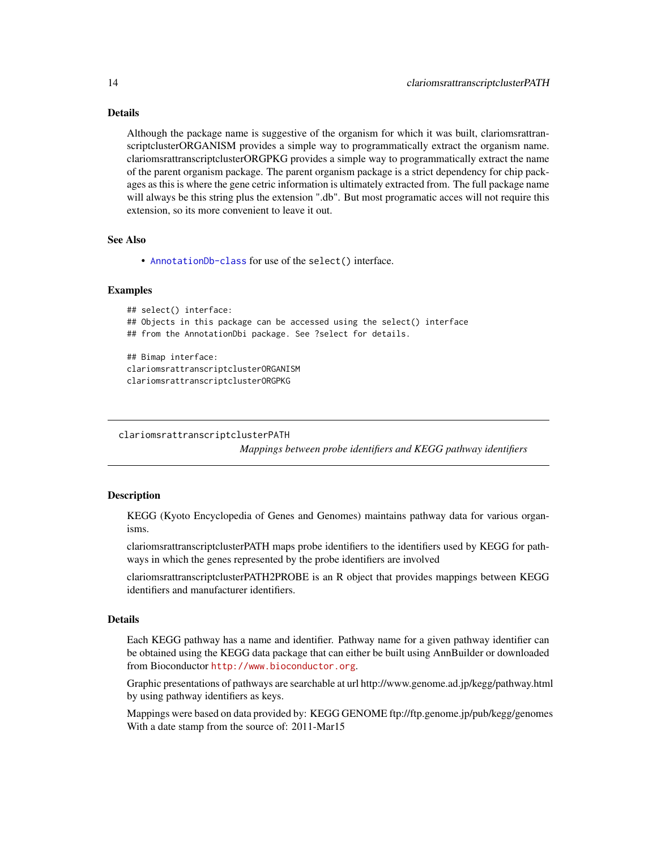# <span id="page-13-0"></span>Details

Although the package name is suggestive of the organism for which it was built, clariomsrattranscriptclusterORGANISM provides a simple way to programmatically extract the organism name. clariomsrattranscriptclusterORGPKG provides a simple way to programmatically extract the name of the parent organism package. The parent organism package is a strict dependency for chip packages as this is where the gene cetric information is ultimately extracted from. The full package name will always be this string plus the extension ".db". But most programatic acces will not require this extension, so its more convenient to leave it out.

#### See Also

• [AnnotationDb-class](#page-0-0) for use of the select() interface.

#### Examples

```
## select() interface:
## Objects in this package can be accessed using the select() interface
## from the AnnotationDbi package. See ?select for details.
## Bimap interface:
clariomsrattranscriptclusterORGANISM
clariomsrattranscriptclusterORGPKG
```

```
clariomsrattranscriptclusterPATH
```
*Mappings between probe identifiers and KEGG pathway identifiers*

# Description

KEGG (Kyoto Encyclopedia of Genes and Genomes) maintains pathway data for various organisms.

clariomsrattranscriptclusterPATH maps probe identifiers to the identifiers used by KEGG for pathways in which the genes represented by the probe identifiers are involved

clariomsrattranscriptclusterPATH2PROBE is an R object that provides mappings between KEGG identifiers and manufacturer identifiers.

# Details

Each KEGG pathway has a name and identifier. Pathway name for a given pathway identifier can be obtained using the KEGG data package that can either be built using AnnBuilder or downloaded from Bioconductor <http://www.bioconductor.org>.

Graphic presentations of pathways are searchable at url http://www.genome.ad.jp/kegg/pathway.html by using pathway identifiers as keys.

Mappings were based on data provided by: KEGG GENOME ftp://ftp.genome.jp/pub/kegg/genomes With a date stamp from the source of: 2011-Mar15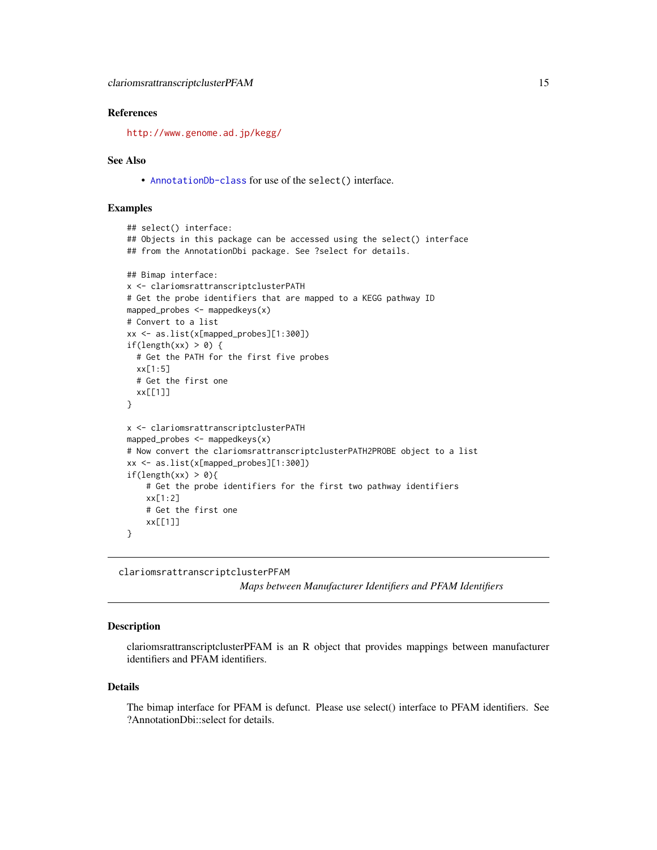#### <span id="page-14-0"></span>References

<http://www.genome.ad.jp/kegg/>

#### See Also

• [AnnotationDb-class](#page-0-0) for use of the select() interface.

### Examples

```
## select() interface:
## Objects in this package can be accessed using the select() interface
## from the AnnotationDbi package. See ?select for details.
## Bimap interface:
x <- clariomsrattranscriptclusterPATH
# Get the probe identifiers that are mapped to a KEGG pathway ID
mapped_probes <- mappedkeys(x)
# Convert to a list
xx <- as.list(x[mapped_probes][1:300])
if(length(xx) > 0) {
  # Get the PATH for the first five probes
  xx[1:5]
  # Get the first one
  xx[[1]]
}
x <- clariomsrattranscriptclusterPATH
mapped_probes <- mappedkeys(x)
# Now convert the clariomsrattranscriptclusterPATH2PROBE object to a list
xx <- as.list(x[mapped_probes][1:300])
if(length(xx) > 0){
    # Get the probe identifiers for the first two pathway identifiers
    xx[1:2]
    # Get the first one
    xx[[1]]
}
```
clariomsrattranscriptclusterPFAM

*Maps between Manufacturer Identifiers and PFAM Identifiers*

#### **Description**

clariomsrattranscriptclusterPFAM is an R object that provides mappings between manufacturer identifiers and PFAM identifiers.

#### Details

The bimap interface for PFAM is defunct. Please use select() interface to PFAM identifiers. See ?AnnotationDbi::select for details.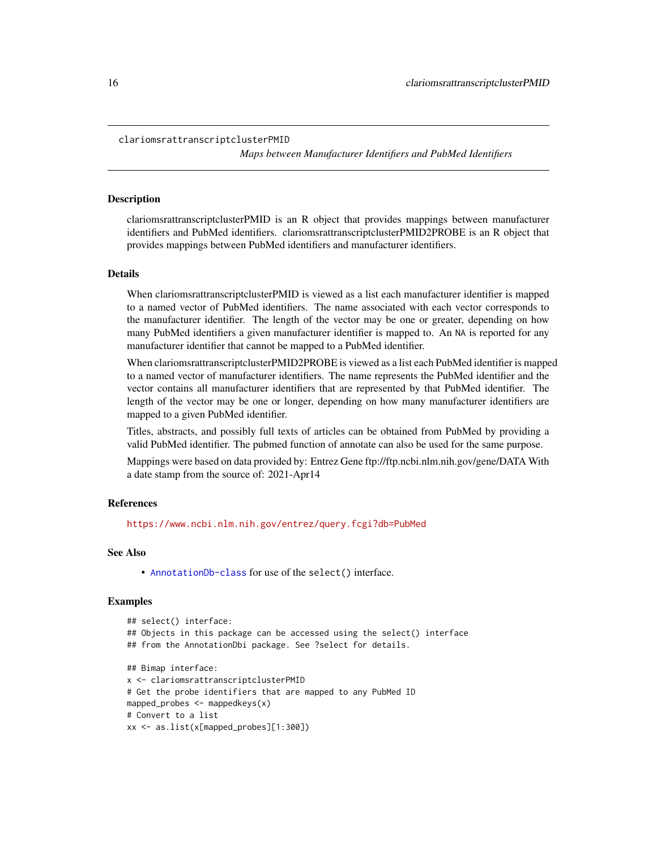```
clariomsrattranscriptclusterPMID
```
*Maps between Manufacturer Identifiers and PubMed Identifiers*

#### **Description**

clariomsrattranscriptclusterPMID is an R object that provides mappings between manufacturer identifiers and PubMed identifiers. clariomsrattranscriptclusterPMID2PROBE is an R object that provides mappings between PubMed identifiers and manufacturer identifiers.

#### Details

When clariomsrattranscriptclusterPMID is viewed as a list each manufacturer identifier is mapped to a named vector of PubMed identifiers. The name associated with each vector corresponds to the manufacturer identifier. The length of the vector may be one or greater, depending on how many PubMed identifiers a given manufacturer identifier is mapped to. An NA is reported for any manufacturer identifier that cannot be mapped to a PubMed identifier.

When clariomsrattranscriptclusterPMID2PROBE is viewed as a list each PubMed identifier is mapped to a named vector of manufacturer identifiers. The name represents the PubMed identifier and the vector contains all manufacturer identifiers that are represented by that PubMed identifier. The length of the vector may be one or longer, depending on how many manufacturer identifiers are mapped to a given PubMed identifier.

Titles, abstracts, and possibly full texts of articles can be obtained from PubMed by providing a valid PubMed identifier. The pubmed function of annotate can also be used for the same purpose.

Mappings were based on data provided by: Entrez Gene ftp://ftp.ncbi.nlm.nih.gov/gene/DATA With a date stamp from the source of: 2021-Apr14

#### References

<https://www.ncbi.nlm.nih.gov/entrez/query.fcgi?db=PubMed>

#### See Also

• [AnnotationDb-class](#page-0-0) for use of the select() interface.

```
## select() interface:
## Objects in this package can be accessed using the select() interface
## from the AnnotationDbi package. See ?select for details.
## Bimap interface:
x <- clariomsrattranscriptclusterPMID
# Get the probe identifiers that are mapped to any PubMed ID
mapped_probes <- mappedkeys(x)
# Convert to a list
xx <- as.list(x[mapped_probes][1:300])
```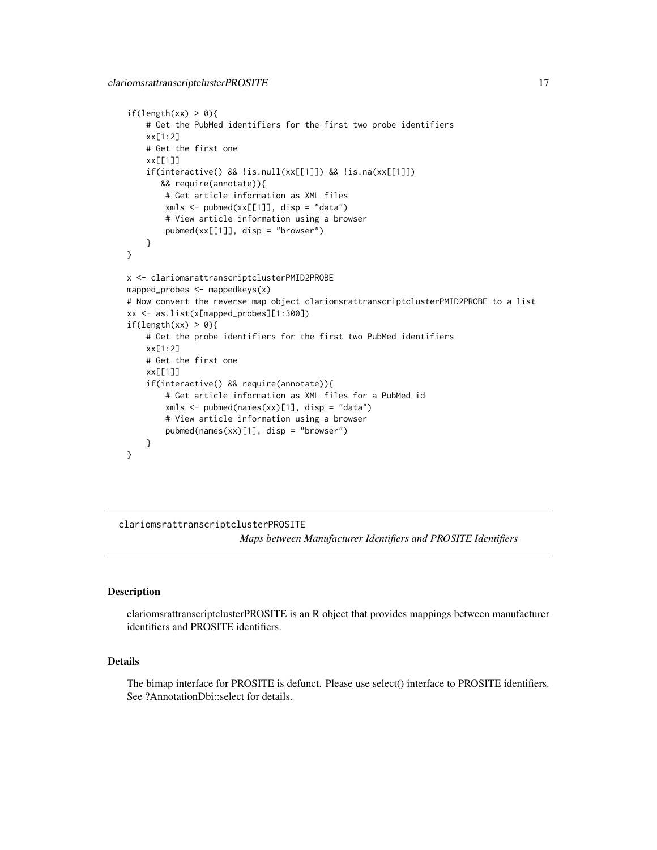```
if(length(xx) > 0){
    # Get the PubMed identifiers for the first two probe identifiers
   xx[1:2]
   # Get the first one
   xx[[1]]
    if(interactive() && !is.null(xx[[1]]) && !is.na(xx[[1]])
      && require(annotate)){
       # Get article information as XML files
       xmls < -pubmed(xx[[1]], disp = "data")# View article information using a browser
       pubmed(xx[[1]], disp = "browser")
    }
}
x <- clariomsrattranscriptclusterPMID2PROBE
mapped_probes <- mappedkeys(x)
# Now convert the reverse map object clariomsrattranscriptclusterPMID2PROBE to a list
xx <- as.list(x[mapped_probes][1:300])
if(length(xx) > 0){
    # Get the probe identifiers for the first two PubMed identifiers
   xx[1:2]
    # Get the first one
   xx[[1]]
    if(interactive() && require(annotate)){
       # Get article information as XML files for a PubMed id
       xmls <- pubmed(names(xx)[1], disp = "data")
       # View article information using a browser
       pubmed(names(xx)[1], disp = "browser")
   }
}
```
clariomsrattranscriptclusterPROSITE

*Maps between Manufacturer Identifiers and PROSITE Identifiers*

#### **Description**

clariomsrattranscriptclusterPROSITE is an R object that provides mappings between manufacturer identifiers and PROSITE identifiers.

# Details

The bimap interface for PROSITE is defunct. Please use select() interface to PROSITE identifiers. See ?AnnotationDbi::select for details.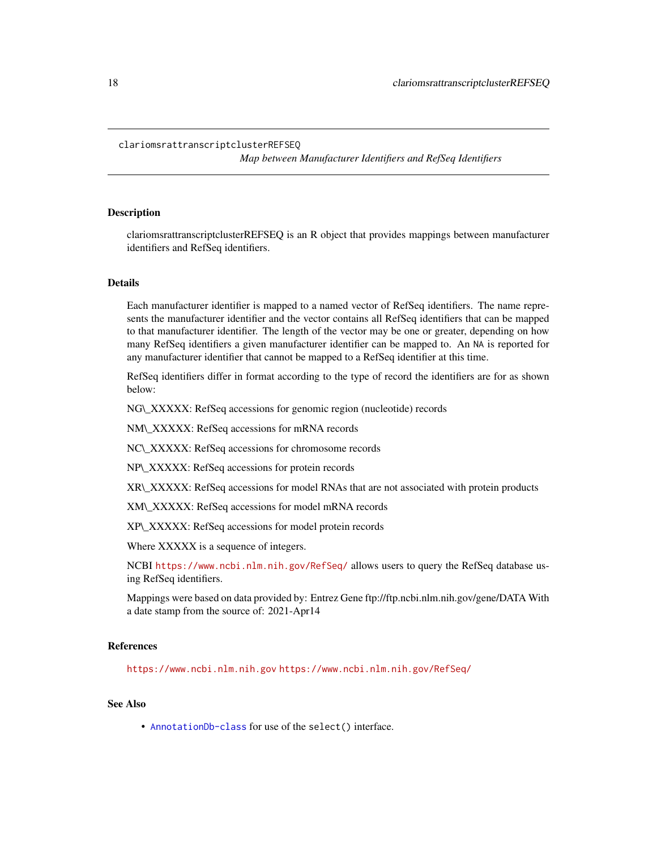#### <span id="page-17-0"></span>clariomsrattranscriptclusterREFSEQ

*Map between Manufacturer Identifiers and RefSeq Identifiers*

# Description

clariomsrattranscriptclusterREFSEQ is an R object that provides mappings between manufacturer identifiers and RefSeq identifiers.

#### Details

Each manufacturer identifier is mapped to a named vector of RefSeq identifiers. The name represents the manufacturer identifier and the vector contains all RefSeq identifiers that can be mapped to that manufacturer identifier. The length of the vector may be one or greater, depending on how many RefSeq identifiers a given manufacturer identifier can be mapped to. An NA is reported for any manufacturer identifier that cannot be mapped to a RefSeq identifier at this time.

RefSeq identifiers differ in format according to the type of record the identifiers are for as shown below:

NG\\_XXXXX: RefSeq accessions for genomic region (nucleotide) records

NM\\_XXXXX: RefSeq accessions for mRNA records

NC\\_XXXXX: RefSeq accessions for chromosome records

NP\\_XXXXX: RefSeq accessions for protein records

XR\\_XXXXX: RefSeq accessions for model RNAs that are not associated with protein products

XM\\_XXXXX: RefSeq accessions for model mRNA records

XP\\_XXXXX: RefSeq accessions for model protein records

Where XXXXX is a sequence of integers.

NCBI <https://www.ncbi.nlm.nih.gov/RefSeq/> allows users to query the RefSeq database using RefSeq identifiers.

Mappings were based on data provided by: Entrez Gene ftp://ftp.ncbi.nlm.nih.gov/gene/DATA With a date stamp from the source of: 2021-Apr14

#### References

<https://www.ncbi.nlm.nih.gov> <https://www.ncbi.nlm.nih.gov/RefSeq/>

# See Also

• [AnnotationDb-class](#page-0-0) for use of the select() interface.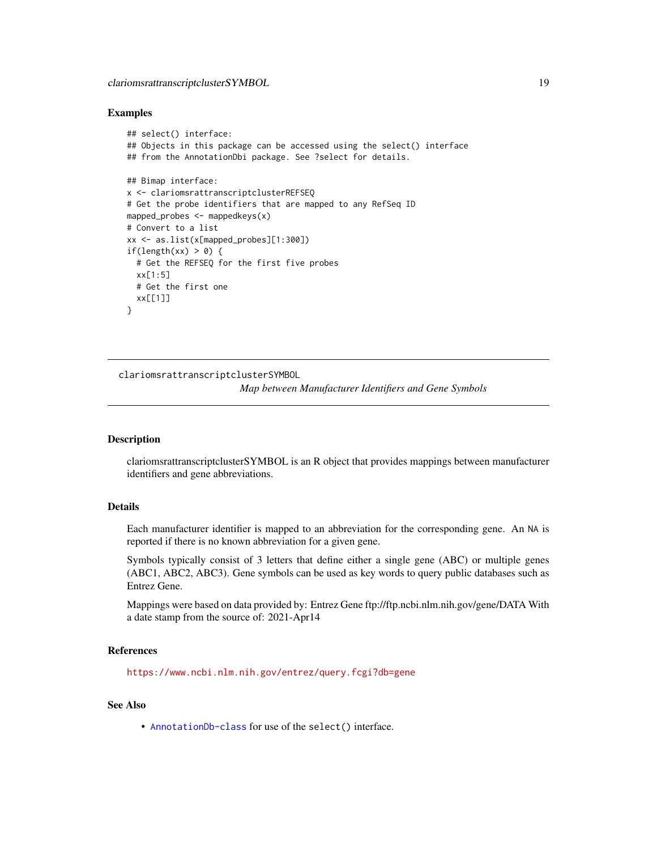#### <span id="page-18-0"></span>Examples

```
## select() interface:
## Objects in this package can be accessed using the select() interface
## from the AnnotationDbi package. See ?select for details.
## Bimap interface:
x <- clariomsrattranscriptclusterREFSEQ
# Get the probe identifiers that are mapped to any RefSeq ID
mapped_probes <- mappedkeys(x)
# Convert to a list
xx <- as.list(x[mapped_probes][1:300])
if(length(xx) > 0) {
  # Get the REFSEQ for the first five probes
  xx[1:5]
  # Get the first one
  xx[[1]]
}
```
clariomsrattranscriptclusterSYMBOL

*Map between Manufacturer Identifiers and Gene Symbols*

# Description

clariomsrattranscriptclusterSYMBOL is an R object that provides mappings between manufacturer identifiers and gene abbreviations.

# Details

Each manufacturer identifier is mapped to an abbreviation for the corresponding gene. An NA is reported if there is no known abbreviation for a given gene.

Symbols typically consist of 3 letters that define either a single gene (ABC) or multiple genes (ABC1, ABC2, ABC3). Gene symbols can be used as key words to query public databases such as Entrez Gene.

Mappings were based on data provided by: Entrez Gene ftp://ftp.ncbi.nlm.nih.gov/gene/DATA With a date stamp from the source of: 2021-Apr14

# References

<https://www.ncbi.nlm.nih.gov/entrez/query.fcgi?db=gene>

#### See Also

• [AnnotationDb-class](#page-0-0) for use of the select() interface.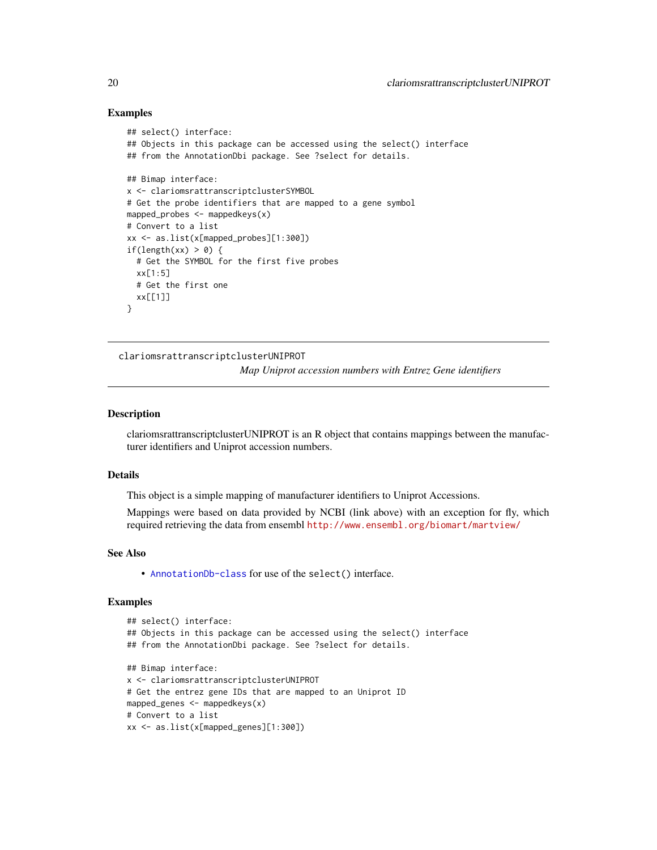#### Examples

```
## select() interface:
## Objects in this package can be accessed using the select() interface
## from the AnnotationDbi package. See ?select for details.
## Bimap interface:
x <- clariomsrattranscriptclusterSYMBOL
# Get the probe identifiers that are mapped to a gene symbol
mapped_probes <- mappedkeys(x)
# Convert to a list
xx <- as.list(x[mapped_probes][1:300])
if(length(xx) > 0) {
  # Get the SYMBOL for the first five probes
  xx[1:5]
  # Get the first one
  xx[[1]]
}
```
clariomsrattranscriptclusterUNIPROT

*Map Uniprot accession numbers with Entrez Gene identifiers*

# **Description**

clariomsrattranscriptclusterUNIPROT is an R object that contains mappings between the manufacturer identifiers and Uniprot accession numbers.

#### Details

This object is a simple mapping of manufacturer identifiers to Uniprot Accessions.

Mappings were based on data provided by NCBI (link above) with an exception for fly, which required retrieving the data from ensembl <http://www.ensembl.org/biomart/martview/>

#### See Also

• [AnnotationDb-class](#page-0-0) for use of the select() interface.

```
## select() interface:
## Objects in this package can be accessed using the select() interface
## from the AnnotationDbi package. See ?select for details.
## Bimap interface:
x <- clariomsrattranscriptclusterUNIPROT
# Get the entrez gene IDs that are mapped to an Uniprot ID
mapped_genes <- mappedkeys(x)
# Convert to a list
xx <- as.list(x[mapped_genes][1:300])
```
<span id="page-19-0"></span>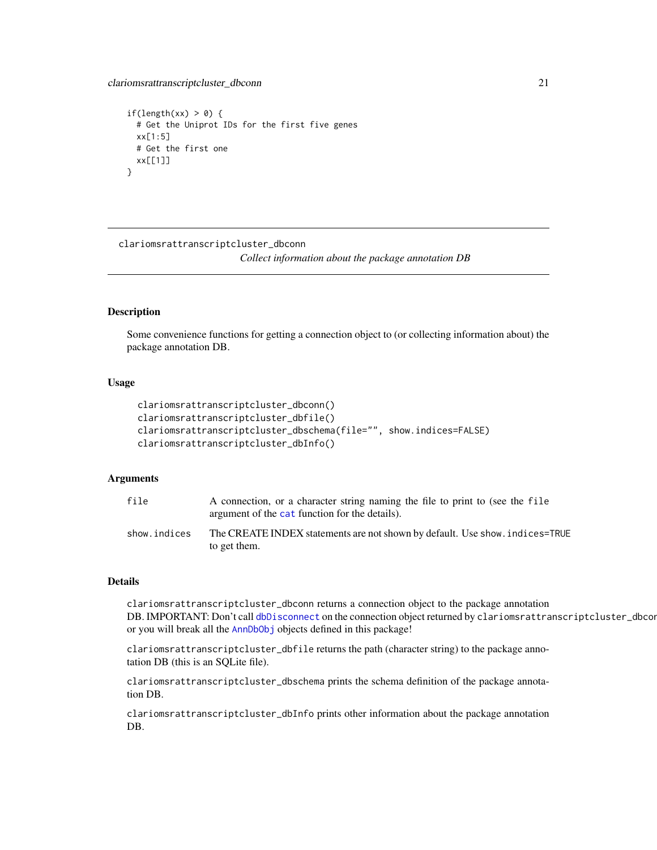```
if(length(xx) > 0) {
 # Get the Uniprot IDs for the first five genes
 xx[1:5]
 # Get the first one
 xx[[1]]
}
```
clariomsrattranscriptcluster\_dbconn

*Collect information about the package annotation DB*

# Description

Some convenience functions for getting a connection object to (or collecting information about) the package annotation DB.

# Usage

```
clariomsrattranscriptcluster_dbconn()
clariomsrattranscriptcluster_dbfile()
clariomsrattranscriptcluster_dbschema(file="", show.indices=FALSE)
clariomsrattranscriptcluster_dbInfo()
```
# Arguments

| file         | A connection, or a character string naming the file to print to (see the file<br>argument of the cat function for the details). |
|--------------|---------------------------------------------------------------------------------------------------------------------------------|
| show.indices | The CREATE INDEX statements are not shown by default. Use show, indices=TRUE<br>to get them.                                    |

#### Details

clariomsrattranscriptcluster\_dbconn returns a connection object to the package annotation DB. IMPORTANT: Don't call [dbDisconnect](#page-0-0) on the connection object returned by clariomsrattranscriptcluster\_dbcon or you will break all the [AnnDbObj](#page-0-0) objects defined in this package!

clariomsrattranscriptcluster\_dbfile returns the path (character string) to the package annotation DB (this is an SQLite file).

clariomsrattranscriptcluster\_dbschema prints the schema definition of the package annotation DB.

clariomsrattranscriptcluster\_dbInfo prints other information about the package annotation DB.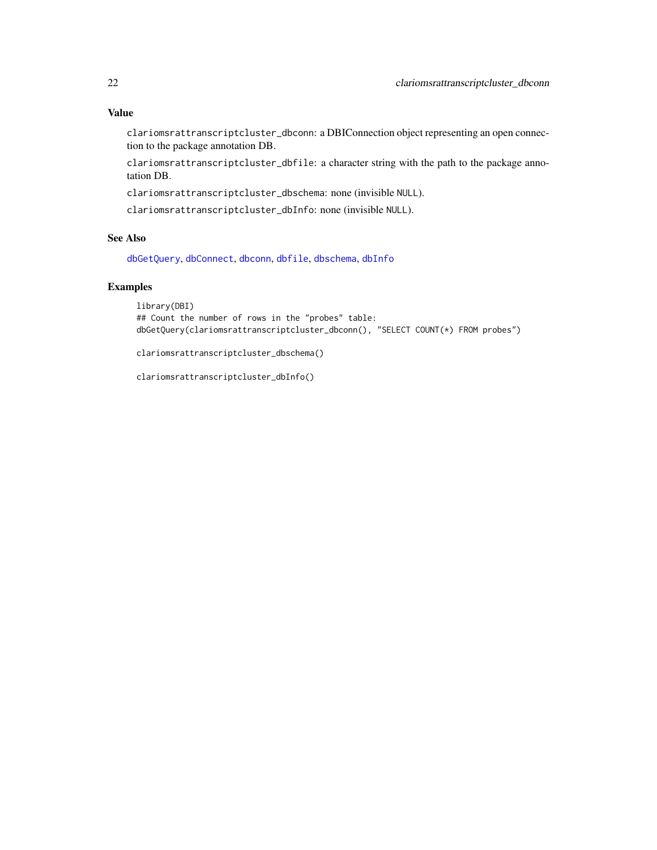# <span id="page-21-0"></span>Value

clariomsrattranscriptcluster\_dbconn: a DBIConnection object representing an open connection to the package annotation DB.

clariomsrattranscriptcluster\_dbfile: a character string with the path to the package annotation DB.

clariomsrattranscriptcluster\_dbschema: none (invisible NULL).

clariomsrattranscriptcluster\_dbInfo: none (invisible NULL).

# See Also

[dbGetQuery](#page-0-0), [dbConnect](#page-0-0), [dbconn](#page-0-0), [dbfile](#page-0-0), [dbschema](#page-0-0), [dbInfo](#page-0-0)

# Examples

library(DBI) ## Count the number of rows in the "probes" table: dbGetQuery(clariomsrattranscriptcluster\_dbconn(), "SELECT COUNT(\*) FROM probes")

clariomsrattranscriptcluster\_dbschema()

clariomsrattranscriptcluster\_dbInfo()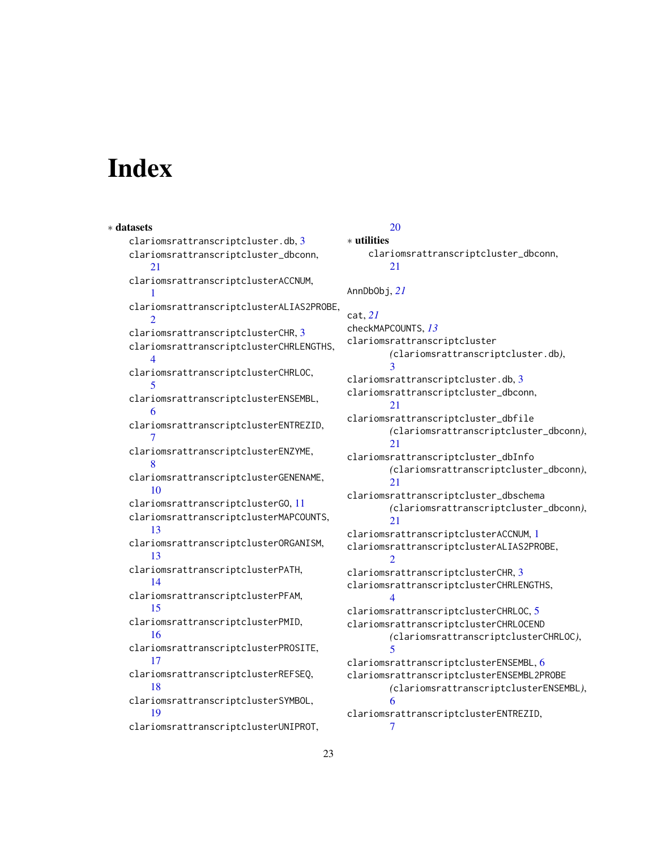# **Index**

∗ datasets

clariomsrattranscriptcluster.db, [3](#page-2-0) clariomsrattranscriptcluster\_dbconn, [21](#page-20-0) clariomsrattranscriptclusterACCNUM, [1](#page-0-1) clariomsrattranscriptclusterALIAS2PROBE,  $\mathcal{D}_{\mathcal{L}}$ clariomsrattranscriptclusterCHR, [3](#page-2-0) clariomsrattranscriptclusterCHRLENGTHS, [4](#page-3-0) clariomsrattranscriptclusterCHRLOC, [5](#page-4-0) clariomsrattranscriptclusterENSEMBL, [6](#page-5-0) clariomsrattranscriptclusterENTREZID, [7](#page-6-0) clariomsrattranscriptclusterENZYME, [8](#page-7-0) clariomsrattranscriptclusterGENENAME, [10](#page-9-0) clariomsrattranscriptclusterGO, [11](#page-10-1) clariomsrattranscriptclusterMAPCOUNTS, [13](#page-12-0) clariomsrattranscriptclusterORGANISM, [13](#page-12-0) clariomsrattranscriptclusterPATH, [14](#page-13-0) clariomsrattranscriptclusterPFAM, [15](#page-14-0) clariomsrattranscriptclusterPMID, [16](#page-15-0) clariomsrattranscriptclusterPROSITE, [17](#page-16-0) clariomsrattranscriptclusterREFSEQ, [18](#page-17-0) clariomsrattranscriptclusterSYMBOL, [19](#page-18-0) clariomsrattranscriptclusterUNIPROT,

# [20](#page-19-0)

∗ utilities clariomsrattranscriptcluster\_dbconn, [21](#page-20-0) AnnDbObj, *[21](#page-20-0)* cat, *[21](#page-20-0)* checkMAPCOUNTS, *[13](#page-12-0)* clariomsrattranscriptcluster *(*clariomsrattranscriptcluster.db*)*, [3](#page-2-0) clariomsrattranscriptcluster.db, [3](#page-2-0) clariomsrattranscriptcluster\_dbconn, [21](#page-20-0) clariomsrattranscriptcluster\_dbfile *(*clariomsrattranscriptcluster\_dbconn*)*, [21](#page-20-0) clariomsrattranscriptcluster\_dbInfo *(*clariomsrattranscriptcluster\_dbconn*)*, [21](#page-20-0) clariomsrattranscriptcluster\_dbschema *(*clariomsrattranscriptcluster\_dbconn*)*,  $21$ clariomsrattranscriptclusterACCNUM, [1](#page-0-1) clariomsrattranscriptclusterALIAS2PROBE,  $\mathcal{D}$ clariomsrattranscriptclusterCHR, [3](#page-2-0) clariomsrattranscriptclusterCHRLENGTHS, [4](#page-3-0) clariomsrattranscriptclusterCHRLOC, [5](#page-4-0) clariomsrattranscriptclusterCHRLOCEND *(*clariomsrattranscriptclusterCHRLOC*)*, [5](#page-4-0) clariomsrattranscriptclusterENSEMBL, [6](#page-5-0) clariomsrattranscriptclusterENSEMBL2PROBE *(*clariomsrattranscriptclusterENSEMBL*)*, [6](#page-5-0) clariomsrattranscriptclusterENTREZID, [7](#page-6-0)